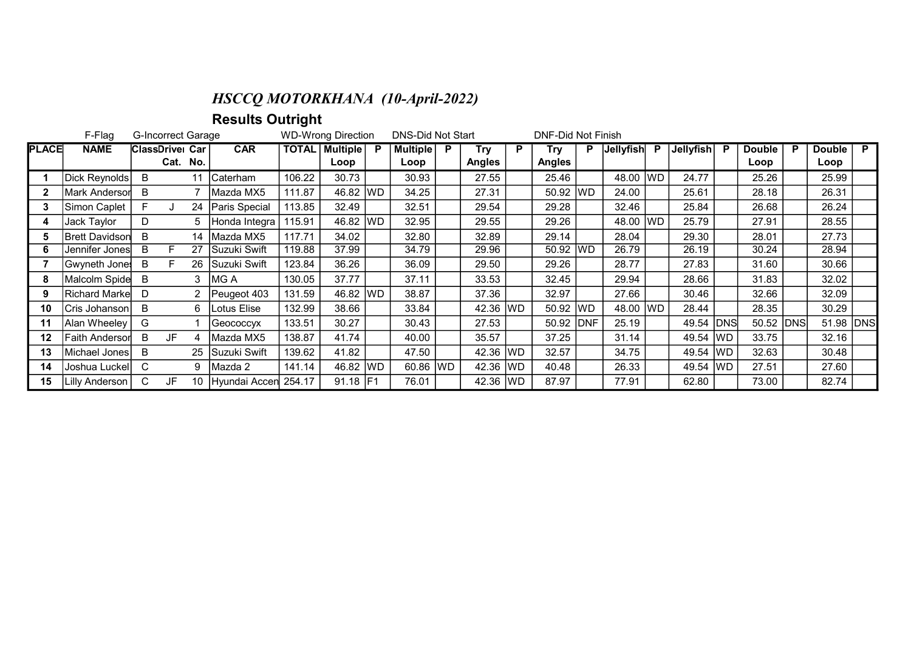## HSCCQ MOTORKHANA (10-April-2022)

Results Outright

|              | F-Flag<br><b>G-Incorrect Garage</b> |                        |          |    |               |        | <b>WD-Wrong Direction</b> |      | DNS-Did Not Start |    |               |   | <b>DNF-Did Not Finish</b> |             |             |           |           |             |               |   |               |                |
|--------------|-------------------------------------|------------------------|----------|----|---------------|--------|---------------------------|------|-------------------|----|---------------|---|---------------------------|-------------|-------------|-----------|-----------|-------------|---------------|---|---------------|----------------|
| <b>PLACE</b> | <b>NAME</b>                         | <b>ClassDrivel Car</b> |          |    | <b>CAR</b>    |        | TOTAL   Multiple          |      | <b>Multiple</b>   | P. | Try           | P | Try                       | P.          | Jellyfish P |           | Jellyfish | - P         | <b>Double</b> | P | <b>Double</b> | $\overline{P}$ |
|              |                                     |                        | Cat. No. |    |               |        | Loop                      |      | Loop              |    | <b>Angles</b> |   | <b>Angles</b>             |             |             |           |           |             | Loop          |   | Loop          |                |
|              | Dick Reynolds                       | B                      |          | 11 | lCaterham l   | 106.22 | 30.73                     |      | 30.93             |    | 27.55         |   | 25.46                     |             | 48.00       | <b>WD</b> | 24.77     |             | 25.26         |   | 25.99         |                |
| 2            | Mark Andersor                       | B                      |          |    | IMazda MX5    | 111.87 | 46.82 WD                  |      | 34.25             |    | 27.31         |   | 50.92 WD                  |             | 24.00       |           | 25.61     |             | 28.18         |   | 26.31         |                |
|              | Simon Caplet                        | F                      |          | 24 | Paris Special | 113.85 | 32.49                     |      | 32.51             |    | 29.54         |   | 29.28                     |             | 32.46       |           | 25.84     |             | 26.68         |   | 26.24         |                |
|              | Jack Taylor                         | D                      |          |    | Honda Integra | 115.91 | 46.82                     | lwd. | 32.95             |    | 29.55         |   | 29.26                     |             | 48.00 WD    |           | 25.79     |             | 27.91         |   | 28.55         |                |
| 5            | <b>Brett Davidson</b>               | B                      |          | 14 | lMazda MX5    | 117.71 | 34.02                     |      | 32.80             |    | 32.89         |   | 29.14                     |             | 28.04       |           | 29.30     |             | 28.01         |   | 27.73         |                |
| 6            | Jennifer Jones                      | B                      |          | 27 | Suzuki Swift  | 119.88 | 37.99                     |      | 34.79             |    | 29.96         |   | 50.92 WD                  |             | 26.79       |           | 26.19     |             | 30.24         |   | 28.94         |                |
|              | Gwyneth Jones                       | B                      | F        | 26 | Suzuki Swift  | 123.84 | 36.26                     |      | 36.09             |    | 29.50         |   | 29.26                     |             | 28.77       |           | 27.83     |             | 31.60         |   | 30.66         |                |
| 8            | Malcolm Spide                       | B                      |          | 3  | MG A          | 130.05 | 37.77                     |      | 37.11             |    | 33.53         |   | 32.45                     |             | 29.94       |           | 28.66     |             | 31.83         |   | 32.02         |                |
| 9            | <b>Richard Markel</b>               | D                      |          |    | 2 Peugeot 403 | 131.59 | 46.82                     | WD   | 38.87             |    | 37.36         |   | 32.97                     |             | 27.66       |           | 30.46     |             | 32.66         |   | 32.09         |                |
| 10           | Cris Johanson                       | B                      |          | 6  | Lotus Elise   | 132.99 | 38.66                     |      | 33.84             |    | 42.36 WD      |   | 50.92 WD                  |             | 48.00 WD    |           | 28.44     |             | 28.35         |   | 30.29         |                |
| 11           | Alan Wheeley                        | G                      |          |    | Geococcyx     | 133.51 | 30.27                     |      | 30.43             |    | 27.53         |   | 50.92                     | <b>IDNF</b> | 25.19       |           | 49.54     | <b>IDNS</b> | 50.52 DNS     |   | 51.98 DNS     |                |
| 12           | <b>Faith Andersor</b>               | B                      | JF       |    | Mazda MX5     | 138.87 | 41.74                     |      | 40.00             |    | 35.57         |   | 37.25                     |             | 31.14       |           | 49.54     | <b>WD</b>   | 33.75         |   | 32.16         |                |
| 13           | Michael Jones <b> </b>              | B                      |          | 25 | Suzuki Swift  | 139.62 | 41.82                     |      | 47.50             |    | 42.36 WD      |   | 32.57                     |             | 34.75       |           | 49.54     | <b>WD</b>   | 32.63         |   | 30.48         |                |
| 14           | Joshua Luckel                       | C                      |          | 9  | Mazda 2       | 141.14 | 46.82                     | WD   | 60.86 WD          |    | 42.36 WD      |   | 40.48                     |             | 26.33       |           | 49.54     | lwd.        | 27.51         |   | 27.60         |                |
| 15           | Lilly Anderson                      | C                      | JF       | 10 | Hyundai Accen | 254.17 | 91.18 F1                  |      | 76.01             |    | 42.36 WD      |   | 87.97                     |             | 77.91       |           | 62.80     |             | 73.00         |   | 82.74         |                |